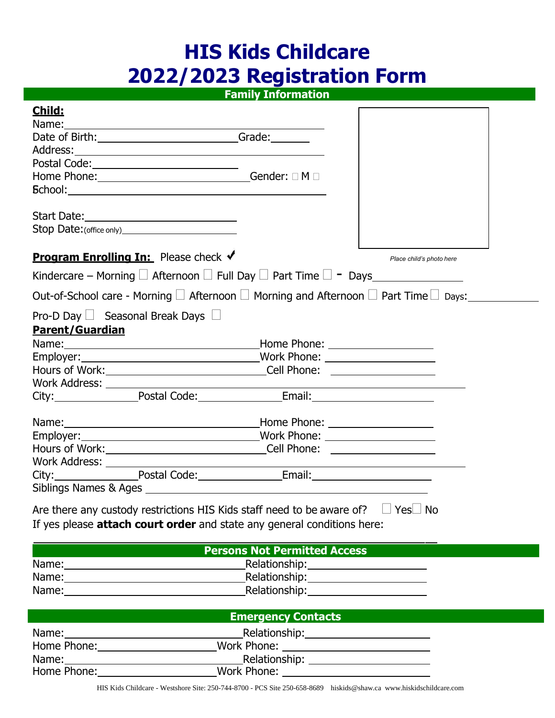# **HIS Kids Childcare 2022/2023 Registration Form**

# **Family Information**

 $\Gamma$ 

٦

**Child:**

| Date of Birth: Change and Case of Birth:                                                                                                                                                                                       |                                                  |                          |
|--------------------------------------------------------------------------------------------------------------------------------------------------------------------------------------------------------------------------------|--------------------------------------------------|--------------------------|
|                                                                                                                                                                                                                                |                                                  |                          |
|                                                                                                                                                                                                                                |                                                  |                          |
|                                                                                                                                                                                                                                |                                                  |                          |
|                                                                                                                                                                                                                                |                                                  |                          |
|                                                                                                                                                                                                                                |                                                  |                          |
|                                                                                                                                                                                                                                |                                                  |                          |
|                                                                                                                                                                                                                                |                                                  |                          |
| <b>Program Enrolling In:</b> Please check √                                                                                                                                                                                    |                                                  | Place child's photo here |
|                                                                                                                                                                                                                                |                                                  |                          |
| Out-of-School care - Morning $\Box$ Afternoon $\Box$ Morning and Afternoon $\Box$ Part Time $\Box$ Days:                                                                                                                       |                                                  |                          |
| Pro-D Day $\Box$ Seasonal Break Days $\Box$                                                                                                                                                                                    |                                                  |                          |
| <b>Parent/Guardian</b>                                                                                                                                                                                                         |                                                  |                          |
|                                                                                                                                                                                                                                |                                                  |                          |
|                                                                                                                                                                                                                                |                                                  |                          |
|                                                                                                                                                                                                                                |                                                  |                          |
| Work Address: North Address: North Address: North Address: North Address: North Address: North Address: North Address: North Address: North Address: North Address: North Address: North Address: North Address: North Address |                                                  |                          |
| City: Postal Code: Email: Email:                                                                                                                                                                                               |                                                  |                          |
|                                                                                                                                                                                                                                |                                                  |                          |
|                                                                                                                                                                                                                                |                                                  |                          |
|                                                                                                                                                                                                                                |                                                  |                          |
|                                                                                                                                                                                                                                |                                                  |                          |
| Hours of Work: __________________________________Cell Phone: ___________________                                                                                                                                               |                                                  |                          |
| Work Address: North Management Communication of the Management Communication of the Management Communication of the Management Communication of the Management Communication of the Management Communication of the Management |                                                  |                          |
| City: Postal Code: Email: Email:                                                                                                                                                                                               |                                                  |                          |
|                                                                                                                                                                                                                                |                                                  |                          |
|                                                                                                                                                                                                                                |                                                  |                          |
| Are there any custody restrictions HIS Kids staff need to be aware of? $\Box$ Yes $\Box$ No                                                                                                                                    |                                                  |                          |
| If yes please attach court order and state any general conditions here:                                                                                                                                                        |                                                  |                          |
|                                                                                                                                                                                                                                | <b>Persons Not Permitted Access</b>              |                          |
|                                                                                                                                                                                                                                |                                                  |                          |
|                                                                                                                                                                                                                                | Relationship: 2000                               |                          |
|                                                                                                                                                                                                                                |                                                  |                          |
|                                                                                                                                                                                                                                |                                                  |                          |
|                                                                                                                                                                                                                                | <b>Emergency Contacts</b>                        |                          |
|                                                                                                                                                                                                                                |                                                  |                          |
|                                                                                                                                                                                                                                | Work Phone: <u>_____________________________</u> |                          |
|                                                                                                                                                                                                                                |                                                  |                          |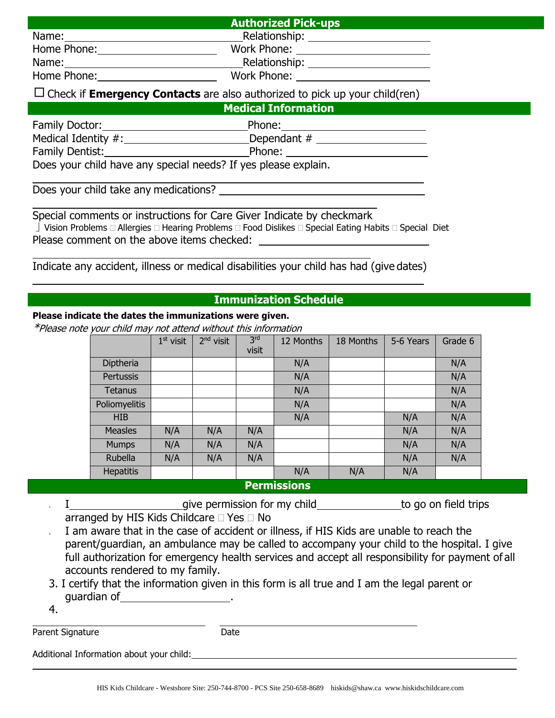#### **Authorized Pick-ups**

Name: Name: Relationship:

Home Phone: Work Phone:

Name: Name: Relationship:

Home Phone: Work Phone:

# $\Box$  Check if **Emergency Contacts** are also authorized to pick up your child(ren)

**Medical Information**

| Family Doctor:                                                | Phone:        |
|---------------------------------------------------------------|---------------|
| Medical Identity #:                                           | Dependant $#$ |
| Family Dentist:                                               | Phone:        |
| Does vour child have any special needs? If yes please explain |               |

Does your child have any special needs? If yes please explain.

Does your child take any medications?

Special comments or instructions for Care Giver Indicate by checkmark Vision Problems  $\Box$  Allergies  $\Box$  Hearing Problems  $\Box$  Food Dislikes  $\Box$  Special Eating Habits  $\Box$  Special Diet Please comment on the above items checked:

Indicate any accident, illness or medical disabilities your child has had (give dates)

## **Immunization Schedule**

#### **Please indicate the dates the immunizations were given.**

\*Please note your child may not attend without this information

|                  | $1st$ visit | 2 <sup>nd</sup> visit | 3 <sup>rd</sup><br>visit | 12 Months          | 18 Months | 5-6 Years | Grade 6 |
|------------------|-------------|-----------------------|--------------------------|--------------------|-----------|-----------|---------|
| Diptheria        |             |                       |                          | N/A                |           |           | N/A     |
| Pertussis        |             |                       |                          | N/A                |           |           | N/A     |
| <b>Tetanus</b>   |             |                       |                          | N/A                |           |           | N/A     |
| Poliomyelitis    |             |                       |                          | N/A                |           |           | N/A     |
| <b>HIB</b>       |             |                       |                          | N/A                |           | N/A       | N/A     |
| <b>Measles</b>   | N/A         | N/A                   | N/A                      |                    |           | N/A       | N/A     |
| <b>Mumps</b>     | N/A         | N/A                   | N/A                      |                    |           | N/A       | N/A     |
| Rubella          | N/A         | N/A                   | N/A                      |                    |           | N/A       | N/A     |
| <b>Hepatitis</b> |             |                       |                          | N/A                | N/A       | N/A       |         |
|                  |             |                       |                          | <b>Douminainna</b> |           |           |         |

#### **Permissions**

- I give permission for my child to go on field trips arranged by HIS Kids Childcare  $\Box$  Yes  $\Box$  No
- 2. I am aware that in the case of accident or illness, if HIS Kids are unable to reach the parent/guardian, an ambulance may be called to accompany your child to the hospital. I give full authorization for emergency health services and accept all responsibility for payment of all accounts rendered to my family.
- 3. I certify that the information given in this form is all true and I am the legal parent or guardian of .
- 4.

Parent Signature Date

Additional Information about your child: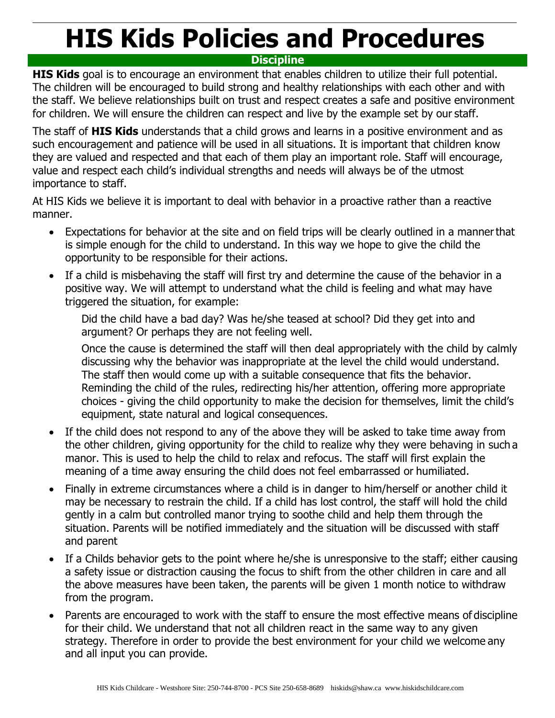# **HIS Kids Policies and Procedures**

# **Discipline**

**HIS Kids** goal is to encourage an environment that enables children to utilize their full potential. The children will be encouraged to build strong and healthy relationships with each other and with the staff. We believe relationships built on trust and respect creates a safe and positive environment for children. We will ensure the children can respect and live by the example set by our staff.

The staff of **HIS Kids** understands that a child grows and learns in a positive environment and as such encouragement and patience will be used in all situations. It is important that children know they are valued and respected and that each of them play an important role. Staff will encourage, value and respect each child's individual strengths and needs will always be of the utmost importance to staff.

At HIS Kids we believe it is important to deal with behavior in a proactive rather than a reactive manner.

- Expectations for behavior at the site and on field trips will be clearly outlined in a mannerthat is simple enough for the child to understand. In this way we hope to give the child the opportunity to be responsible for their actions.
- If a child is misbehaving the staff will first try and determine the cause of the behavior in a positive way. We will attempt to understand what the child is feeling and what may have triggered the situation, for example:

Did the child have a bad day? Was he/she teased at school? Did they get into and argument? Or perhaps they are not feeling well.

Once the cause is determined the staff will then deal appropriately with the child by calmly discussing why the behavior was inappropriate at the level the child would understand. The staff then would come up with a suitable consequence that fits the behavior. Reminding the child of the rules, redirecting his/her attention, offering more appropriate choices - giving the child opportunity to make the decision for themselves, limit the child's equipment, state natural and logical consequences.

- If the child does not respond to any of the above they will be asked to take time away from the other children, giving opportunity for the child to realize why they were behaving in such a manor. This is used to help the child to relax and refocus. The staff will first explain the meaning of a time away ensuring the child does not feel embarrassed or humiliated.
- Finally in extreme circumstances where a child is in danger to him/herself or another child it may be necessary to restrain the child. If a child has lost control, the staff will hold the child gently in a calm but controlled manor trying to soothe child and help them through the situation. Parents will be notified immediately and the situation will be discussed with staff and parent
- If a Childs behavior gets to the point where he/she is unresponsive to the staff; either causing a safety issue or distraction causing the focus to shift from the other children in care and all the above measures have been taken, the parents will be given 1 month notice to withdraw from the program.
- Parents are encouraged to work with the staff to ensure the most effective means of discipline for their child. We understand that not all children react in the same way to any given strategy. Therefore in order to provide the best environment for your child we welcome any and all input you can provide.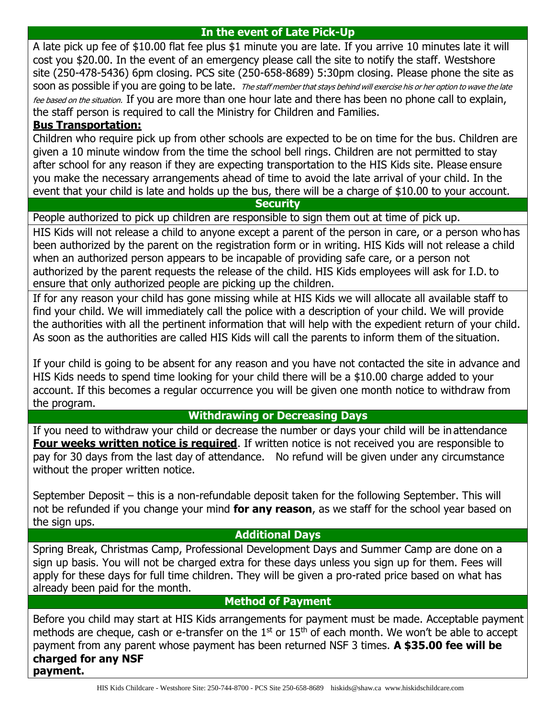# **In the event of Late Pick-Up**

A late pick up fee of \$10.00 flat fee plus \$1 minute you are late. If you arrive 10 minutes late it will cost you \$20.00. In the event of an emergency please call the site to notify the staff. Westshore site (250-478-5436) 6pm closing. PCS site (250-658-8689) 5:30pm closing. Please phone the site as soon as possible if you are going to be late. The staff member that stays behind will exercise his or her option to wave the late fee based on the situation. If you are more than one hour late and there has been no phone call to explain, the staff person is required to call the Ministry for Children and Families.

# **Bus Transportation:**

Children who require pick up from other schools are expected to be on time for the bus. Children are given a 10 minute window from the time the school bell rings. Children are not permitted to stay after school for any reason if they are expecting transportation to the HIS Kids site. Please ensure you make the necessary arrangements ahead of time to avoid the late arrival of your child. In the event that your child is late and holds up the bus, there will be a charge of \$10.00 to your account.

### **Security**

People authorized to pick up children are responsible to sign them out at time of pick up.

HIS Kids will not release a child to anyone except a parent of the person in care, or a person who has been authorized by the parent on the registration form or in writing. HIS Kids will not release a child when an authorized person appears to be incapable of providing safe care, or a person not authorized by the parent requests the release of the child. HIS Kids employees will ask for I.D. to ensure that only authorized people are picking up the children.

If for any reason your child has gone missing while at HIS Kids we will allocate all available staff to find your child. We will immediately call the police with a description of your child. We will provide the authorities with all the pertinent information that will help with the expedient return of your child. As soon as the authorities are called HIS Kids will call the parents to inform them of the situation.

If your child is going to be absent for any reason and you have not contacted the site in advance and HIS Kids needs to spend time looking for your child there will be a \$10.00 charge added to your account. If this becomes a regular occurrence you will be given one month notice to withdraw from the program.

## **Withdrawing or Decreasing Days**

If you need to withdraw your child or decrease the number or days your child will be in attendance **Four weeks written notice is required.** If written notice is not received you are responsible to pay for 30 days from the last day of attendance. No refund will be given under any circumstance without the proper written notice.

September Deposit – this is a non-refundable deposit taken for the following September. This will not be refunded if you change your mind **for any reason**, as we staff for the school year based on the sign ups.

# **Additional Days**

Spring Break, Christmas Camp, Professional Development Days and Summer Camp are done on a sign up basis. You will not be charged extra for these days unless you sign up for them. Fees will apply for these days for full time children. They will be given a pro-rated price based on what has already been paid for the month.

# **Method of Payment**

Before you child may start at HIS Kids arrangements for payment must be made. Acceptable payment methods are cheque, cash or e-transfer on the  $1<sup>st</sup>$  or  $15<sup>th</sup>$  of each month. We won't be able to accept payment from any parent whose payment has been returned NSF 3 times. **A \$35.00 fee will be charged for any NSF payment.**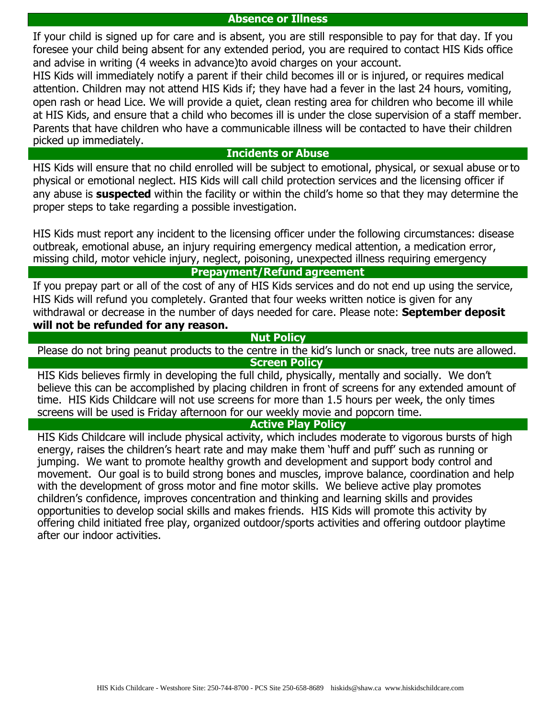#### **Absence or Illness**

If your child is signed up for care and is absent, you are still responsible to pay for that day. If you foresee your child being absent for any extended period, you are required to contact HIS Kids office and advise in writing (4 weeks in advance)to avoid charges on your account.

HIS Kids will immediately notify a parent if their child becomes ill or is injured, or requires medical attention. Children may not attend HIS Kids if; they have had a fever in the last 24 hours, vomiting, open rash or head Lice. We will provide a quiet, clean resting area for children who become ill while at HIS Kids, and ensure that a child who becomes ill is under the close supervision of a staff member. Parents that have children who have a communicable illness will be contacted to have their children picked up immediately.

#### **Incidents or Abuse**

HIS Kids will ensure that no child enrolled will be subject to emotional, physical, or sexual abuse or to physical or emotional neglect. HIS Kids will call child protection services and the licensing officer if any abuse is **suspected** within the facility or within the child's home so that they may determine the proper steps to take regarding a possible investigation.

HIS Kids must report any incident to the licensing officer under the following circumstances: disease outbreak, emotional abuse, an injury requiring emergency medical attention, a medication error, missing child, motor vehicle injury, neglect, poisoning, unexpected illness requiring emergency

### **Prepayment/Refund agreement**

If you prepay part or all of the cost of any of HIS Kids services and do not end up using the service, HIS Kids will refund you completely. Granted that four weeks written notice is given for any withdrawal or decrease in the number of days needed for care. Please note: **September deposit will not be refunded for any reason.**

#### **Nut Policy**

Please do not bring peanut products to the centre in the kid's lunch or snack, tree nuts are allowed.

**Screen Policy**

HIS Kids believes firmly in developing the full child, physically, mentally and socially. We don't believe this can be accomplished by placing children in front of screens for any extended amount of time. HIS Kids Childcare will not use screens for more than 1.5 hours per week, the only times screens will be used is Friday afternoon for our weekly movie and popcorn time.

#### **Active Play Policy**

HIS Kids Childcare will include physical activity, which includes moderate to vigorous bursts of high energy, raises the children's heart rate and may make them 'huff and puff' such as running or jumping. We want to promote healthy growth and development and support body control and movement. Our goal is to build strong bones and muscles, improve balance, coordination and help with the development of gross motor and fine motor skills. We believe active play promotes children's confidence, improves concentration and thinking and learning skills and provides opportunities to develop social skills and makes friends. HIS Kids will promote this activity by offering child initiated free play, organized outdoor/sports activities and offering outdoor playtime after our indoor activities.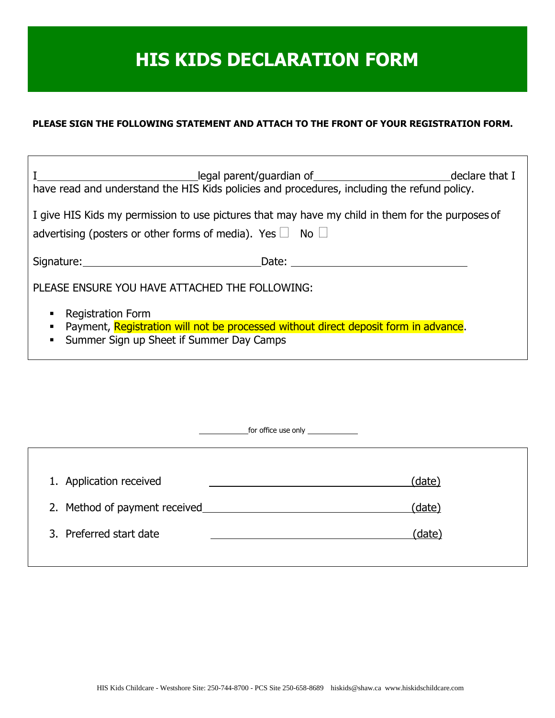# **HIS KIDS DECLARATION FORM**

## **PLEASE SIGN THE FOLLOWING STATEMENT AND ATTACH TO THE FRONT OF YOUR REGISTRATION FORM.**

٦

 $\overline{\Gamma}$ 

| have read and understand the HIS Kids policies and procedures, including the refund policy.                                                                                   | legal parent/guardian of __________________________________declare that I                                                                                                                                                      |  |
|-------------------------------------------------------------------------------------------------------------------------------------------------------------------------------|--------------------------------------------------------------------------------------------------------------------------------------------------------------------------------------------------------------------------------|--|
| I give HIS Kids my permission to use pictures that may have my child in them for the purposes of<br>advertising (posters or other forms of media). Yes $\Box$ No $\Box$       |                                                                                                                                                                                                                                |  |
| Signature: National Assembly Signature:                                                                                                                                       | Date: and the set of the set of the set of the set of the set of the set of the set of the set of the set of the set of the set of the set of the set of the set of the set of the set of the set of the set of the set of the |  |
| PLEASE ENSURE YOU HAVE ATTACHED THE FOLLOWING:                                                                                                                                |                                                                                                                                                                                                                                |  |
| <b>Registration Form</b><br>Payment, Registration will not be processed without direct deposit form in advance.<br>Summer Sign up Sheet if Summer Day Camps<br>$\blacksquare$ |                                                                                                                                                                                                                                |  |

|                               | for office use only $\frac{1}{2}$ |
|-------------------------------|-----------------------------------|
|                               |                                   |
| 1. Application received       | (date)                            |
| 2. Method of payment received | (date)                            |
| 3. Preferred start date       | (date)                            |
|                               |                                   |